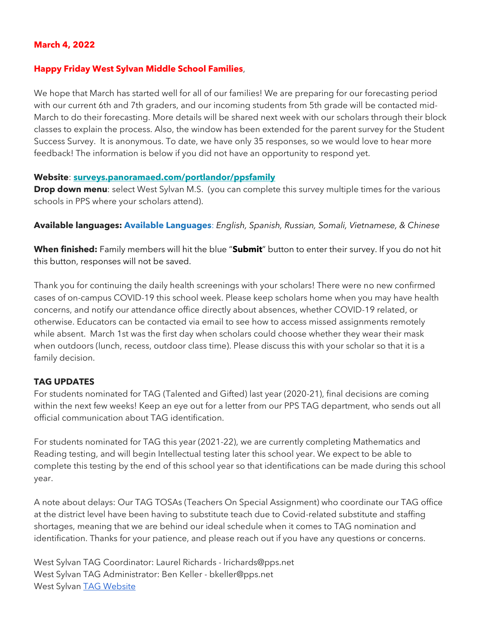## **March 4, 2022**

#### **Happy Friday West Sylvan Middle School Families**,

We hope that March has started well for all of our families! We are preparing for our forecasting period with our current 6th and 7th graders, and our incoming students from 5th grade will be contacted mid-March to do their forecasting. More details will be shared next week with our scholars through their block classes to explain the process. Also, the window has been extended for the parent survey for the Student Success Survey. It is anonymous. To date, we have only 35 responses, so we would love to hear more feedback! The information is below if you did not have an opportunity to respond yet.

#### **Website**: **[surveys.panoramaed.com/portlandor/ppsfamily](https://surveys.panoramaed.com/portlandor/ppsfamily)**

**Drop down menu**: select West Sylvan M.S. (you can complete this survey multiple times for the various schools in PPS where your scholars attend).

**Available languages: Available Languages**: *English, Spanish, Russian, Somali, Vietnamese, & Chinese*

**When finished:** Family members will hit the blue "**Submit**" button to enter their survey. If you do not hit this button, responses will not be saved.

Thank you for continuing the daily health screenings with your scholars! There were no new confirmed cases of on-campus COVID-19 this school week. Please keep scholars home when you may have health concerns, and notify our attendance office directly about absences, whether COVID-19 related, or otherwise. Educators can be contacted via email to see how to access missed assignments remotely while absent. March 1st was the first day when scholars could choose whether they wear their mask when outdoors (lunch, recess, outdoor class time). Please discuss this with your scholar so that it is a family decision.

## **TAG UPDATES**

For students nominated for TAG (Talented and Gifted) last year (2020-21), final decisions are coming within the next few weeks! Keep an eye out for a letter from our PPS TAG department, who sends out all official communication about TAG identification.

For students nominated for TAG this year (2021-22), we are currently completing Mathematics and Reading testing, and will begin Intellectual testing later this school year. We expect to be able to complete this testing by the end of this school year so that identifications can be made during this school year.

A note about delays: Our TAG TOSAs (Teachers On Special Assignment) who coordinate our TAG office at the district level have been having to substitute teach due to Covid-related substitute and staffing shortages, meaning that we are behind our ideal schedule when it comes to TAG nomination and identification. Thanks for your patience, and please reach out if you have any questions or concerns.

West Sylvan TAG Coordinator: Laurel Richards - lrichards@pps.net West Sylvan TAG Administrator: Ben Keller - bkeller@pps.net West Sylvan [TAG Website](https://www.pps.net/domain/2637)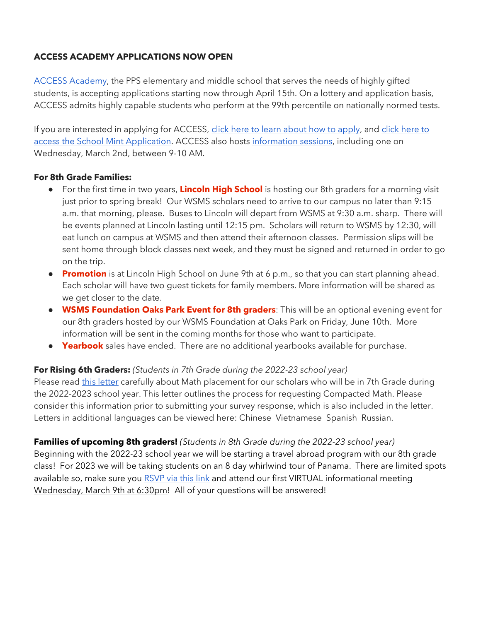## **ACCESS ACADEMY APPLICATIONS NOW OPEN**

[ACCESS Academy,](https://www.pps.net/access) the PPS elementary and middle school that serves the needs of highly gifted students, is accepting applications starting now through April 15th. On a lottery and application basis, ACCESS admits highly capable students who perform at the 99th percentile on nationally normed tests.

If you are interested in applying for ACCESS, [click here to learn about how to apply,](https://www.pps.net/Page/9207) and click here to [access the School Mint Application.](https://www.pps.net/Page/12048) ACCESS also hosts [information sessions,](https://www.pps.net/Page/13346) including one on Wednesday, March 2nd, between 9-10 AM.

#### **For 8th Grade Families:**

- For the first time in two years, **Lincoln High School** is hosting our 8th graders for a morning visit just prior to spring break! Our WSMS scholars need to arrive to our campus no later than 9:15 a.m. that morning, please. Buses to Lincoln will depart from WSMS at 9:30 a.m. sharp. There will be events planned at Lincoln lasting until 12:15 pm. Scholars will return to WSMS by 12:30, will eat lunch on campus at WSMS and then attend their afternoon classes. Permission slips will be sent home through block classes next week, and they must be signed and returned in order to go on the trip.
- **Promotion** is at Lincoln High School on June 9th at 6 p.m., so that you can start planning ahead. Each scholar will have two guest tickets for family members. More information will be shared as we get closer to the date.
- **WSMS Foundation Oaks Park Event for 8th graders**: This will be an optional evening event for our 8th graders hosted by our WSMS Foundation at Oaks Park on Friday, June 10th. More information will be sent in the coming months for those who want to participate.
- **Yearbook** sales have ended. There are no additional yearbooks available for purchase.

## **For Rising 6th Graders:** *(Students in 7th Grade during the 2022-23 school year)*

Please read [this letter](https://docs.google.com/document/d/1Lkt70vqv0OSS92k6oGc1Saz-ZJfK2sqhuDzC2TQuGIg/edit?usp=sharing) carefully about Math placement for our scholars who will be in 7th Grade during the 2022-2023 school year. This letter outlines the process for requesting Compacted Math. Please consider this information prior to submitting your survey response, which is also included in the letter. Letters in additional languages can be viewed here: Chinese Vietnamese Spanish Russian.

**Families of upcoming 8th graders!** *(Students in 8th Grade during the 2022-23 school year)* Beginning with the 2022-23 school year we will be starting a travel abroad program with our 8th grade class! For 2023 we will be taking students on an 8 day whirlwind tour of Panama. There are limited spots available so, make sure you [RSVP via this link](https://bit.ly/35mNsOY) and attend our first VIRTUAL informational meeting Wednesday, March 9th at 6:30pm! All of your questions will be answered!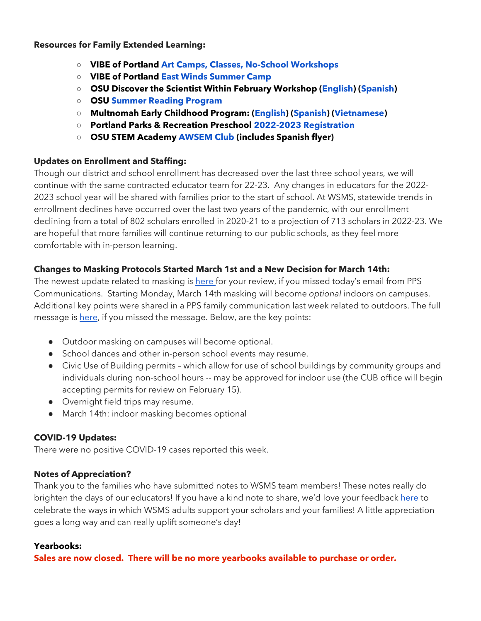#### **Resources for Family Extended Learning:**

- **VIBE of Portland [Art Camps, Classes, No-School Workshops](https://www.pps.net/cms/lib/OR01913224/Centricity/Domain/254/VIBE.jpeg)**
- **VIBE of Portland [East Winds Summer Camp](https://www.pps.net/cms/lib/OR01913224/Centricity/Domain/254/VIBE-east_winds_2022.jpeg)**
- **OSU Discover the Scientist Within February Workshop [\(English\)](https://www.pps.net/cms/lib/OR01913224/Centricity/Domain/254/FebDSW2022Flyer.pdf) [\(Spanish\)](https://www.pps.net/cms/lib/OR01913224/Centricity/Domain/254/FebDSW2022FlyerSpanish.pdf)**
- **OSU [Summer Reading Program](https://www.pps.net/cms/lib/OR01913224/Centricity/Domain/254/OSU-reading-summer-2022.pdf)**
- **Multnomah Early Childhood Program: [\(English\)](https://www.pps.net/cms/lib/OR01913224/Centricity/Domain/254/MECP-2021-22-PEER-Flyer-English.pdf) [\(Spanish\)](https://www.pps.net/cms/lib/OR01913224/Centricity/Domain/254/MECP-2021-22-PEER-Flyer-Spanish.pdf) [\(Vietnamese\)](https://www.pps.net/cms/lib/OR01913224/Centricity/Domain/254/MECP-2021-22-PEER-Flyer-Vietnamese.pdf)**
- **Portland Parks & Recreation Preschool [2022-2023 Registration](https://www.pps.net/cms/lib/OR01913224/Centricity/Domain/254/PPR-Preschool-22-23-price-sheet.pdf)**
- **OSU STEM Academ[y](https://www.pps.net/cms/lib/OR01913224/Centricity/Domain/254/AWSEM_Flyer_Combined_General.pdf) [AWSEM](https://www.pps.net/cms/lib/OR01913224/Centricity/Domain/254/AWSEM_Flyer_Combined_General.pdf) [Club](https://www.pps.net/cms/lib/OR01913224/Centricity/Domain/254/AWSEM_Flyer_Combined_General.pdf) (includes Spanish flyer)**

## **Updates on Enrollment and Staffing:**

Though our district and school enrollment has decreased over the last three school years, we will continue with the same contracted educator team for 22-23. Any changes in educators for the 2022- 2023 school year will be shared with families prior to the start of school. At WSMS, statewide trends in enrollment declines have occurred over the last two years of the pandemic, with our enrollment declining from a total of 802 scholars enrolled in 2020-21 to a projection of 713 scholars in 2022-23. We are hopeful that more families will continue returning to our public schools, as they feel more comfortable with in-person learning.

# **Changes to Masking Protocols Started March 1st and a New Decision for March 14th:**

The newest update related to masking i[s here](https://drive.google.com/file/d/1Xo1sGWWBAFFDOqgBEB9QDlhxt8R43Wjk/view?usp=sharing) for your review, if you missed today's email from PPS Communications. Starting Monday, March 14th masking will become *optional* indoors on campuses. Additional key points were shared in a PPS family communication last week related to outdoors. The full message is [here,](https://drive.google.com/file/d/13aBVxIetQ38YfjAiIGkBfWhyu0upmQDy/view?usp=sharing) if you missed the message. Below, are the key points:

- Outdoor masking on campuses will become optional.
- School dances and other in-person school events may resume.
- Civic Use of Building permits which allow for use of school buildings by community groups and individuals during non-school hours -- may be approved for indoor use (the CUB office will begin accepting permits for review on February 15).
- Overnight field trips may resume.
- March 14th: indoor masking becomes optional

# **COVID-19 Updates:**

There were no positive COVID-19 cases reported this week.

# **Notes of Appreciation?**

Thank you to the families who have submitted notes to WSMS team members! These notes really do brighten the days of our educators! If you have a kind note to share, we'd love your feedback [here t](https://forms.gle/3TsJKYDfcfbLhiKu7)o celebrate the ways in which WSMS adults support your scholars and your families! A little appreciation goes a long way and can really uplift someone's day!

## **Yearbooks:**

**Sales are now closed. There will be no more yearbooks available to purchase or order.**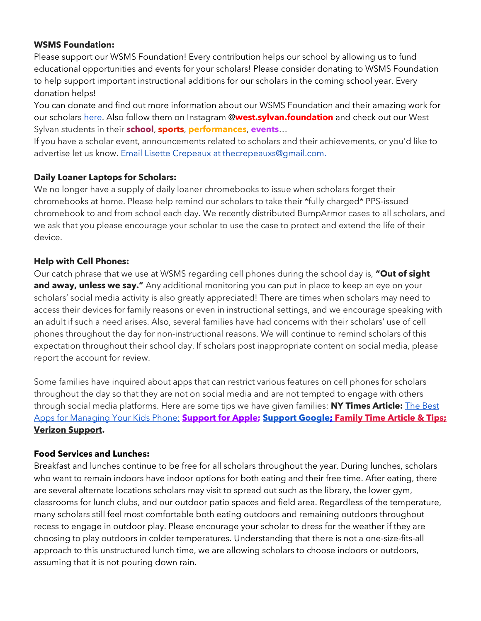## **WSMS Foundation:**

Please support our WSMS Foundation! Every contribution helps our school by allowing us to fund educational opportunities and events for your scholars! Please consider donating to WSMS Foundation to help support important instructional additions for our scholars in the coming school year. Every donation helps!

You can donate and find out more information about our WSMS Foundation and their amazing work for our scholar[s here.](https://www.westsylvanfoundation.com/) Also follow them on Instagram @**west.sylvan.foundation** and check out our West Sylvan students in their **school**, **sports**, **performances**, **events**…

If you have a scholar event, announcements related to scholars and their achievements, or you'd like to advertise let us know. Email Lisette Crepeaux at thecrepeauxs@gmail.com.

## **Daily Loaner Laptops for Scholars:**

We no longer have a supply of daily loaner chromebooks to issue when scholars forget their chromebooks at home. Please help remind our scholars to take their \*fully charged\* PPS-issued chromebook to and from school each day. We recently distributed BumpArmor cases to all scholars, and we ask that you please encourage your scholar to use the case to protect and extend the life of their device.

## **Help with Cell Phones:**

Our catch phrase that we use at WSMS regarding cell phones during the school day is, **"Out of sight and away, unless we say."** Any additional monitoring you can put in place to keep an eye on your scholars' social media activity is also greatly appreciated! There are times when scholars may need to access their devices for family reasons or even in instructional settings, and we encourage speaking with an adult if such a need arises. Also, several families have had concerns with their scholars' use of cell phones throughout the day for non-instructional reasons. We will continue to remind scholars of this expectation throughout their school day. If scholars post inappropriate content on social media, please report the account for review.

Some families have inquired about apps that can restrict various features on cell phones for scholars throughout the day so that they are not on social media and are not tempted to engage with others through social media platforms. Here are some tips we have given families: **NY Times Article:** [The Best](https://www.nytimes.com/wirecutter/reviews/best-apps-to-manage-your-kids-phone/)  [Apps for Managing Your Kids Phone;](https://www.nytimes.com/wirecutter/reviews/best-apps-to-manage-your-kids-phone/) **[Support for Apple;](https://support.apple.com/guide/iphone/set-up-parental-controls-iph00ba7d632/ios) [Support Google](https://support.google.com/families/answer/7103340?hl=en)[;](https://familytime.io/) [Family Time Article & Tips;](https://familytime.io/) [Verizon Support.](https://www.verizon.com/support/verizon-smart-family-restrictions-video/)** 

## **Food Services and Lunches:**

Breakfast and lunches continue to be free for all scholars throughout the year. During lunches, scholars who want to remain indoors have indoor options for both eating and their free time. After eating, there are several alternate locations scholars may visit to spread out such as the library, the lower gym, classrooms for lunch clubs, and our outdoor patio spaces and field area. Regardless of the temperature, many scholars still feel most comfortable both eating outdoors and remaining outdoors throughout recess to engage in outdoor play. Please encourage your scholar to dress for the weather if they are choosing to play outdoors in colder temperatures. Understanding that there is not a one-size-fits-all approach to this unstructured lunch time, we are allowing scholars to choose indoors or outdoors, assuming that it is not pouring down rain.